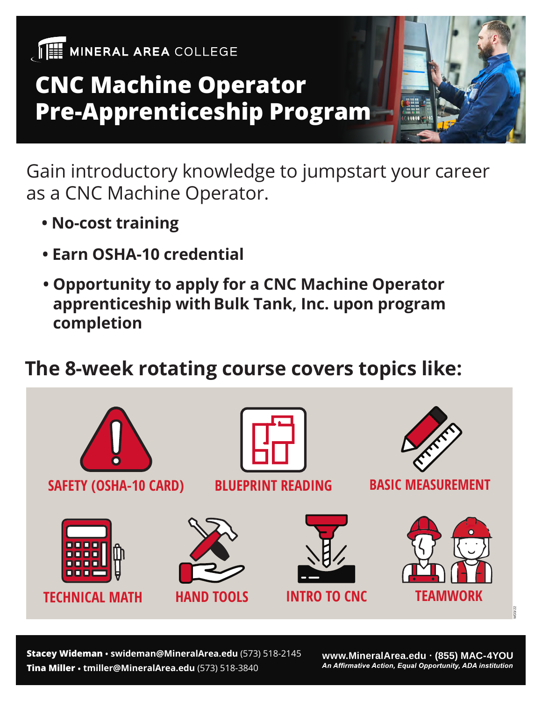

## **CNC Machine Operator Pre-Apprenticeship Program**

Gain introductory knowledge to jumpstart your career as a CNC Machine Operator.

- **No-cost training**
- **Earn OSHA-10 credential**
- **Opportunity to apply for a CNC Machine Operator**  apprenticeship with Bulk Tank, Inc. upon program  **completion**

#### **The 8-week rotating course covers topics like:**



**Tina Miller • tmiller@MineralArea.edu** (573) 518-3840 **Stacey Wideman • swideman@MineralArea.edu** (573) 518-2145

**www.MineralArea.edu (855) MAC-4YOU**